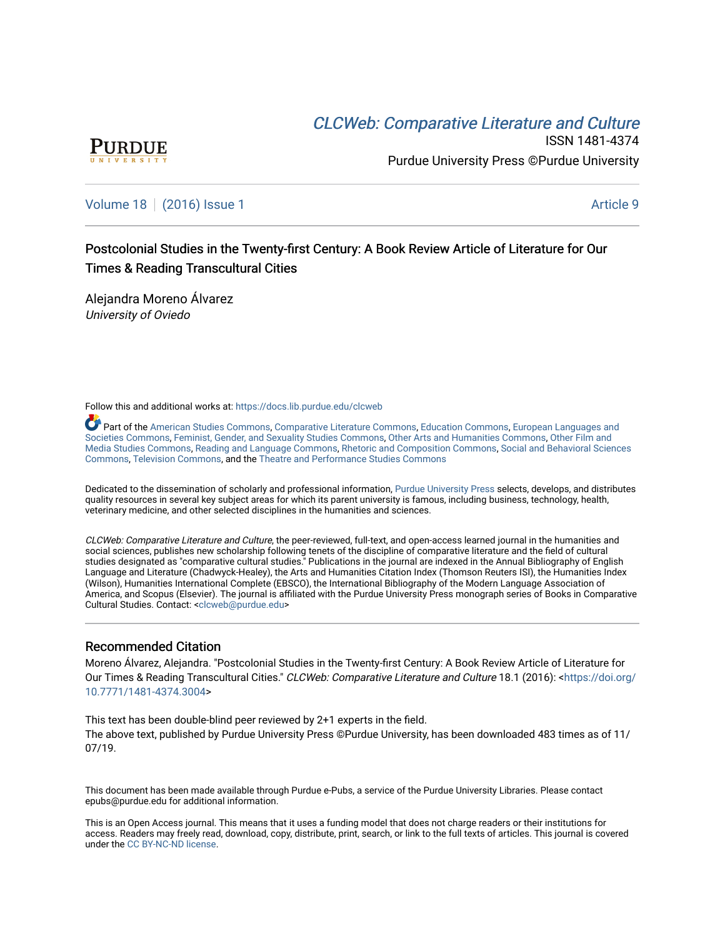# CLCW[eb: Comparative Liter](https://docs.lib.purdue.edu/clcweb)ature and Culture



ISSN 1481-4374 Purdue University Press ©Purdue University

### [Volume 18](https://docs.lib.purdue.edu/clcweb/vol18) | [\(2016\) Issue 1](https://docs.lib.purdue.edu/clcweb/vol18/iss1) Article 9

## Postcolonial Studies in the Twenty-first Century: A Book Review Article of Literature for Our Times & Reading Transcultural Cities

Alejandra Moreno Álvarez University of Oviedo

Follow this and additional works at: [https://docs.lib.purdue.edu/clcweb](https://docs.lib.purdue.edu/clcweb?utm_source=docs.lib.purdue.edu%2Fclcweb%2Fvol18%2Fiss1%2F9&utm_medium=PDF&utm_campaign=PDFCoverPages)

Part of the [American Studies Commons](http://network.bepress.com/hgg/discipline/439?utm_source=docs.lib.purdue.edu%2Fclcweb%2Fvol18%2Fiss1%2F9&utm_medium=PDF&utm_campaign=PDFCoverPages), [Comparative Literature Commons,](http://network.bepress.com/hgg/discipline/454?utm_source=docs.lib.purdue.edu%2Fclcweb%2Fvol18%2Fiss1%2F9&utm_medium=PDF&utm_campaign=PDFCoverPages) [Education Commons,](http://network.bepress.com/hgg/discipline/784?utm_source=docs.lib.purdue.edu%2Fclcweb%2Fvol18%2Fiss1%2F9&utm_medium=PDF&utm_campaign=PDFCoverPages) [European Languages and](http://network.bepress.com/hgg/discipline/482?utm_source=docs.lib.purdue.edu%2Fclcweb%2Fvol18%2Fiss1%2F9&utm_medium=PDF&utm_campaign=PDFCoverPages) [Societies Commons](http://network.bepress.com/hgg/discipline/482?utm_source=docs.lib.purdue.edu%2Fclcweb%2Fvol18%2Fiss1%2F9&utm_medium=PDF&utm_campaign=PDFCoverPages), [Feminist, Gender, and Sexuality Studies Commons,](http://network.bepress.com/hgg/discipline/559?utm_source=docs.lib.purdue.edu%2Fclcweb%2Fvol18%2Fiss1%2F9&utm_medium=PDF&utm_campaign=PDFCoverPages) [Other Arts and Humanities Commons](http://network.bepress.com/hgg/discipline/577?utm_source=docs.lib.purdue.edu%2Fclcweb%2Fvol18%2Fiss1%2F9&utm_medium=PDF&utm_campaign=PDFCoverPages), [Other Film and](http://network.bepress.com/hgg/discipline/565?utm_source=docs.lib.purdue.edu%2Fclcweb%2Fvol18%2Fiss1%2F9&utm_medium=PDF&utm_campaign=PDFCoverPages)  [Media Studies Commons](http://network.bepress.com/hgg/discipline/565?utm_source=docs.lib.purdue.edu%2Fclcweb%2Fvol18%2Fiss1%2F9&utm_medium=PDF&utm_campaign=PDFCoverPages), [Reading and Language Commons](http://network.bepress.com/hgg/discipline/1037?utm_source=docs.lib.purdue.edu%2Fclcweb%2Fvol18%2Fiss1%2F9&utm_medium=PDF&utm_campaign=PDFCoverPages), [Rhetoric and Composition Commons,](http://network.bepress.com/hgg/discipline/573?utm_source=docs.lib.purdue.edu%2Fclcweb%2Fvol18%2Fiss1%2F9&utm_medium=PDF&utm_campaign=PDFCoverPages) [Social and Behavioral Sciences](http://network.bepress.com/hgg/discipline/316?utm_source=docs.lib.purdue.edu%2Fclcweb%2Fvol18%2Fiss1%2F9&utm_medium=PDF&utm_campaign=PDFCoverPages) [Commons,](http://network.bepress.com/hgg/discipline/316?utm_source=docs.lib.purdue.edu%2Fclcweb%2Fvol18%2Fiss1%2F9&utm_medium=PDF&utm_campaign=PDFCoverPages) [Television Commons,](http://network.bepress.com/hgg/discipline/1143?utm_source=docs.lib.purdue.edu%2Fclcweb%2Fvol18%2Fiss1%2F9&utm_medium=PDF&utm_campaign=PDFCoverPages) and the [Theatre and Performance Studies Commons](http://network.bepress.com/hgg/discipline/552?utm_source=docs.lib.purdue.edu%2Fclcweb%2Fvol18%2Fiss1%2F9&utm_medium=PDF&utm_campaign=PDFCoverPages)

Dedicated to the dissemination of scholarly and professional information, [Purdue University Press](http://www.thepress.purdue.edu/) selects, develops, and distributes quality resources in several key subject areas for which its parent university is famous, including business, technology, health, veterinary medicine, and other selected disciplines in the humanities and sciences.

CLCWeb: Comparative Literature and Culture, the peer-reviewed, full-text, and open-access learned journal in the humanities and social sciences, publishes new scholarship following tenets of the discipline of comparative literature and the field of cultural studies designated as "comparative cultural studies." Publications in the journal are indexed in the Annual Bibliography of English Language and Literature (Chadwyck-Healey), the Arts and Humanities Citation Index (Thomson Reuters ISI), the Humanities Index (Wilson), Humanities International Complete (EBSCO), the International Bibliography of the Modern Language Association of America, and Scopus (Elsevier). The journal is affiliated with the Purdue University Press monograph series of Books in Comparative Cultural Studies. Contact: [<clcweb@purdue.edu](mailto:clcweb@purdue.edu)>

### Recommended Citation

Moreno Álvarez, Alejandra. "Postcolonial Studies in the Twenty-first Century: A Book Review Article of Literature for Our Times & Reading Transcultural Cities." CLCWeb: Comparative Literature and Culture 18.1 (2016): <[https://doi.org/](https://doi.org/10.7771/1481-4374.3004) [10.7771/1481-4374.3004>](https://doi.org/10.7771/1481-4374.3004)

This text has been double-blind peer reviewed by 2+1 experts in the field. The above text, published by Purdue University Press ©Purdue University, has been downloaded 483 times as of 11/ 07/19.

This document has been made available through Purdue e-Pubs, a service of the Purdue University Libraries. Please contact epubs@purdue.edu for additional information.

This is an Open Access journal. This means that it uses a funding model that does not charge readers or their institutions for access. Readers may freely read, download, copy, distribute, print, search, or link to the full texts of articles. This journal is covered under the [CC BY-NC-ND license.](https://creativecommons.org/licenses/by-nc-nd/4.0/)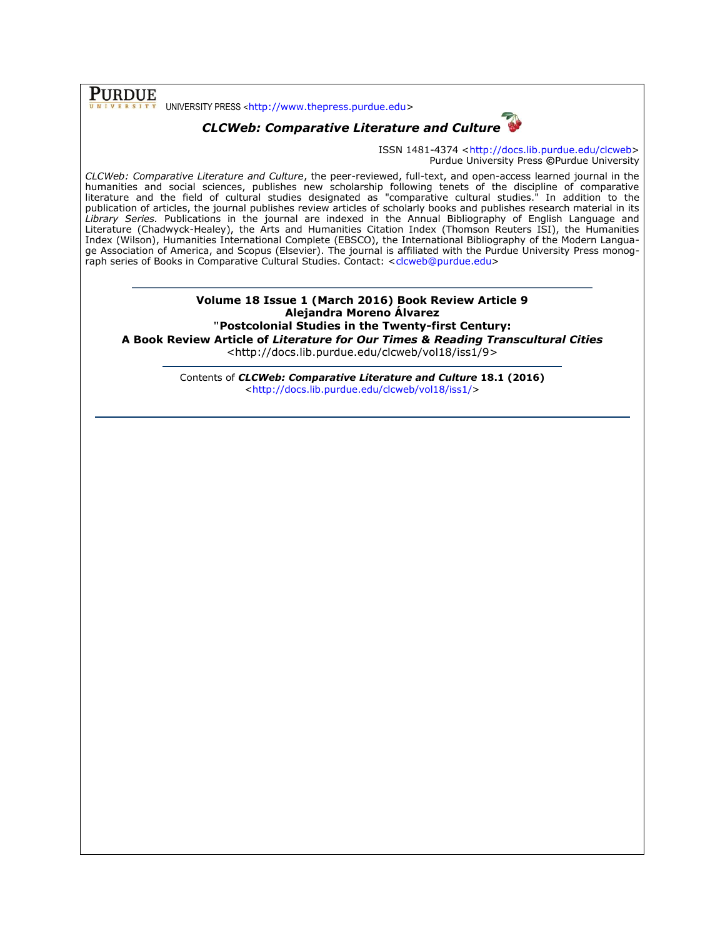**PURDUE** UNIVERSITY PRESS <[http://www.thepress.purdue.edu>](http://www.thepress.purdue.edu/)

### *CLCWeb: Comparative Literature and Culture*



ISSN 1481-4374 [<http://docs.lib.purdue.edu/clcweb>](http://docs.lib.purdue.edu/clcweb) Purdue University Press **©**Purdue University

*CLCWeb: Comparative Literature and Culture*, the peer-reviewed, full-text, and open-access learned journal in the humanities and social sciences, publishes new scholarship following tenets of the discipline of comparative literature and the field of cultural studies designated as "comparative cultural studies." In addition to the publication of articles, the journal publishes review articles of scholarly books and publishes research material in its *Library Series.* Publications in the journal are indexed in the Annual Bibliography of English Language and Literature (Chadwyck-Healey), the Arts and Humanities Citation Index (Thomson Reuters ISI), the Humanities Index (Wilson), Humanities International Complete (EBSCO), the International Bibliography of the Modern Language Association of America, and Scopus (Elsevier). The journal is affiliated with the Purdue University Press monog-raph series of Books in Comparative Cultural Studies. Contact: [<clcweb@purdue.edu>](mailto:clcweb@purdue.edu)

#### **Volume 18 Issue 1 (March 2016) Book Review Article 9 Alejandra Moreno Álvarez "Postcolonial Studies in the Twenty-first Century: A Book Review Article of** *Literature for Our Times & Reading Transcultural Cities* <http://docs.lib.purdue.edu/clcweb/vol18/iss1/9>

Contents of *CLCWeb: Comparative Literature and Culture* **18.1 (2016)** [<http://docs.lib.purdue.edu/clcweb/vol18/iss1/>](http://docs.lib.purdue.edu/clcweb/vol18/iss1/)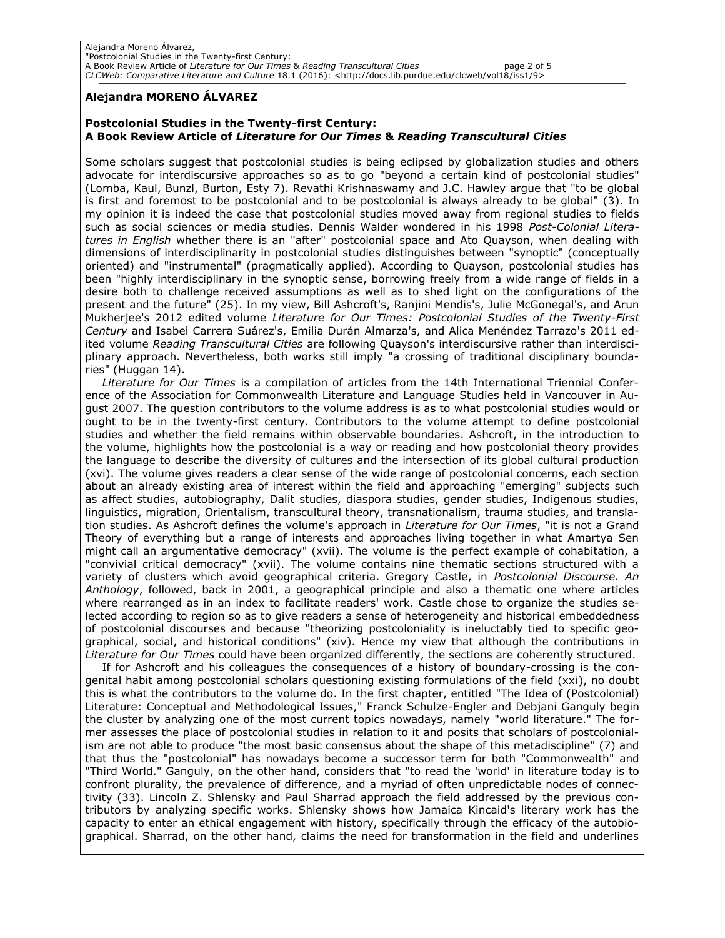### **Alejandra MORENO ÁLVAREZ**

#### **Postcolonial Studies in the Twenty-first Century: A Book Review Article of** *Literature for Our Times* **&** *Reading Transcultural Cities*

Some scholars suggest that postcolonial studies is being eclipsed by globalization studies and others advocate for interdiscursive approaches so as to go "beyond a certain kind of postcolonial studies" (Lomba, Kaul, Bunzl, Burton, Esty 7). Revathi Krishnaswamy and J.C. Hawley argue that "to be global is first and foremost to be postcolonial and to be postcolonial is always already to be global" (3). In my opinion it is indeed the case that postcolonial studies moved away from regional studies to fields such as social sciences or media studies. Dennis Walder wondered in his 1998 *Post-Colonial Literatures in English* whether there is an "after" postcolonial space and Ato Quayson, when dealing with dimensions of interdisciplinarity in postcolonial studies distinguishes between "synoptic" (conceptually oriented) and "instrumental" (pragmatically applied). According to Quayson, postcolonial studies has been "highly interdisciplinary in the synoptic sense, borrowing freely from a wide range of fields in a desire both to challenge received assumptions as well as to shed light on the configurations of the present and the future" (25). In my view, Bill Ashcroft's, Ranjini Mendis's, Julie McGonegal's, and Arun Mukherjee's 2012 edited volume *Literature for Our Times: Postcolonial Studies of the Twenty-First Century* and Isabel Carrera Suárez's, Emilia Durán Almarza's, and Alica Menéndez Tarrazo's 2011 edited volume *Reading Transcultural Cities* are following Quayson's interdiscursive rather than interdisciplinary approach. Nevertheless, both works still imply "a crossing of traditional disciplinary boundaries" (Huggan 14).

*Literature for Our Times* is a compilation of articles from the 14th International Triennial Conference of the Association for Commonwealth Literature and Language Studies held in Vancouver in August 2007. The question contributors to the volume address is as to what postcolonial studies would or ought to be in the twenty-first century. Contributors to the volume attempt to define postcolonial studies and whether the field remains within observable boundaries. Ashcroft, in the introduction to the volume, highlights how the postcolonial is a way or reading and how postcolonial theory provides the language to describe the diversity of cultures and the intersection of its global cultural production (xvi). The volume gives readers a clear sense of the wide range of postcolonial concerns, each section about an already existing area of interest within the field and approaching "emerging" subjects such as affect studies, autobiography, Dalit studies, diaspora studies, gender studies, Indigenous studies, linguistics, migration, Orientalism, transcultural theory, transnationalism, trauma studies, and translation studies. As Ashcroft defines the volume's approach in *Literature for Our Times*, "it is not a Grand Theory of everything but a range of interests and approaches living together in what Amartya Sen might call an argumentative democracy" (xvii). The volume is the perfect example of cohabitation, a "convivial critical democracy" (xvii). The volume contains nine thematic sections structured with a variety of clusters which avoid geographical criteria. Gregory Castle, in *Postcolonial Discourse. An Anthology*, followed, back in 2001, a geographical principle and also a thematic one where articles where rearranged as in an index to facilitate readers' work. Castle chose to organize the studies selected according to region so as to give readers a sense of heterogeneity and historical embeddedness of postcolonial discourses and because "theorizing postcoloniality is ineluctably tied to specific geographical, social, and historical conditions" (xiv). Hence my view that although the contributions in *Literature for Our Times* could have been organized differently, the sections are coherently structured.

If for Ashcroft and his colleagues the consequences of a history of boundary-crossing is the congenital habit among postcolonial scholars questioning existing formulations of the field (xxi), no doubt this is what the contributors to the volume do. In the first chapter, entitled "The Idea of (Postcolonial) Literature: Conceptual and Methodological Issues," Franck Schulze-Engler and Debjani Ganguly begin the cluster by analyzing one of the most current topics nowadays, namely "world literature." The former assesses the place of postcolonial studies in relation to it and posits that scholars of postcolonialism are not able to produce "the most basic consensus about the shape of this metadiscipline" (7) and that thus the "postcolonial" has nowadays become a successor term for both "Commonwealth" and "Third World." Ganguly, on the other hand, considers that "to read the 'world' in literature today is to confront plurality, the prevalence of difference, and a myriad of often unpredictable nodes of connectivity (33). Lincoln Z. Shlensky and Paul Sharrad approach the field addressed by the previous contributors by analyzing specific works. Shlensky shows how Jamaica Kincaid's literary work has the capacity to enter an ethical engagement with history, specifically through the efficacy of the autobiographical. Sharrad, on the other hand, claims the need for transformation in the field and underlines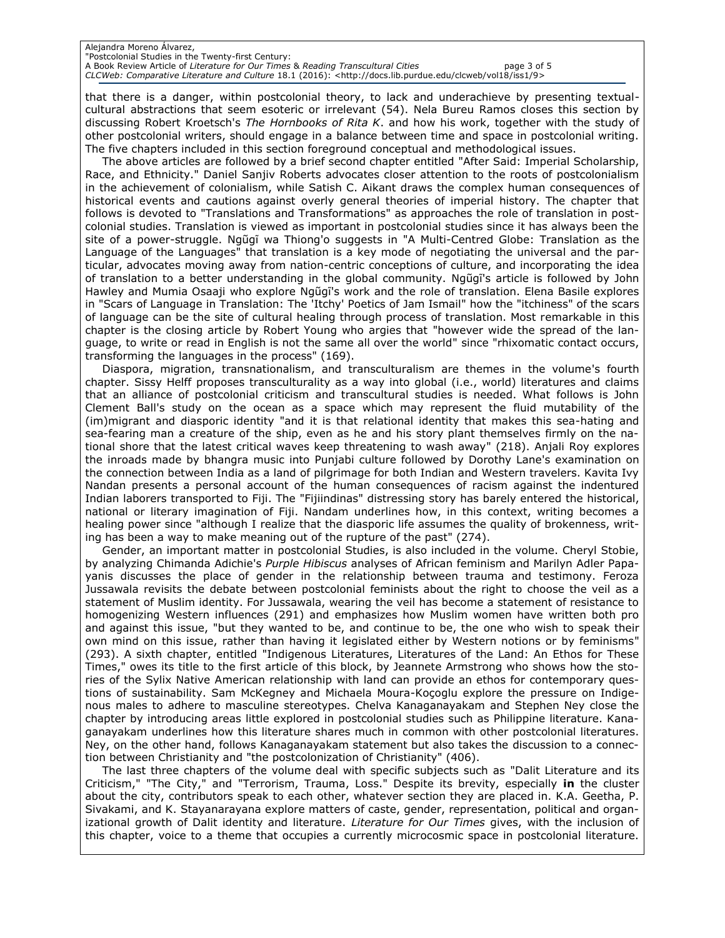| Alejandra Moreno Álvarez,                                                                                                      |             |
|--------------------------------------------------------------------------------------------------------------------------------|-------------|
| "Postcolonial Studies in the Twenty-first Century:                                                                             |             |
| A Book Review Article of Literature for Our Times & Reading Transcultural Cities                                               | page 3 of 5 |
| CLCWeb: Comparative Literature and Culture 18.1 (2016): <http: 9="" clcweb="" docs.lib.purdue.edu="" iss1="" vol18=""></http:> |             |

that there is a danger, within postcolonial theory, to lack and underachieve by presenting textualcultural abstractions that seem esoteric or irrelevant (54). Nela Bureu Ramos closes this section by discussing Robert Kroetsch's *The Hornbooks of Rita K*. and how his work, together with the study of other postcolonial writers, should engage in a balance between time and space in postcolonial writing. The five chapters included in this section foreground conceptual and methodological issues.

The above articles are followed by a brief second chapter entitled "After Said: Imperial Scholarship, Race, and Ethnicity." Daniel Sanjiv Roberts advocates closer attention to the roots of postcolonialism in the achievement of colonialism, while Satish C. Aikant draws the complex human consequences of historical events and cautions against overly general theories of imperial history. The chapter that follows is devoted to "Translations and Transformations" as approaches the role of translation in postcolonial studies. Translation is viewed as important in postcolonial studies since it has always been the site of a power-struggle. Ngũgĩ wa Thiong'o suggests in "A Multi-Centred Globe: Translation as the Language of the Languages" that translation is a key mode of negotiating the universal and the particular, advocates moving away from nation-centric conceptions of culture, and incorporating the idea of translation to a better understanding in the global community. Ngũgĩ's article is followed by John Hawley and Mumia Osaaji who explore Ngũgĩ's work and the role of translation. Elena Basile explores in "Scars of Language in Translation: The 'Itchy' Poetics of Jam Ismail" how the "itchiness" of the scars of language can be the site of cultural healing through process of translation. Most remarkable in this chapter is the closing article by Robert Young who argies that "however wide the spread of the language, to write or read in English is not the same all over the world" since "rhixomatic contact occurs, transforming the languages in the process" (169).

Diaspora, migration, transnationalism, and transculturalism are themes in the volume's fourth chapter. Sissy Helff proposes transculturality as a way into global (i.e., world) literatures and claims that an alliance of postcolonial criticism and transcultural studies is needed. What follows is John Clement Ball's study on the ocean as a space which may represent the fluid mutability of the (im)migrant and diasporic identity "and it is that relational identity that makes this sea-hating and sea-fearing man a creature of the ship, even as he and his story plant themselves firmly on the national shore that the latest critical waves keep threatening to wash away" (218). Anjali Roy explores the inroads made by bhangra music into Punjabi culture followed by Dorothy Lane's examination on the connection between India as a land of pilgrimage for both Indian and Western travelers. Kavita Ivy Nandan presents a personal account of the human consequences of racism against the indentured Indian laborers transported to Fiji. The "Fijiindinas" distressing story has barely entered the historical, national or literary imagination of Fiji. Nandam underlines how, in this context, writing becomes a healing power since "although I realize that the diasporic life assumes the quality of brokenness, writing has been a way to make meaning out of the rupture of the past" (274).

Gender, an important matter in postcolonial Studies, is also included in the volume. Cheryl Stobie, by analyzing Chimanda Adichie's *Purple Hibiscus* analyses of African feminism and Marilyn Adler Papayanis discusses the place of gender in the relationship between trauma and testimony. Feroza Jussawala revisits the debate between postcolonial feminists about the right to choose the veil as a statement of Muslim identity. For Jussawala, wearing the veil has become a statement of resistance to homogenizing Western influences (291) and emphasizes how Muslim women have written both pro and against this issue, "but they wanted to be, and continue to be, the one who wish to speak their own mind on this issue, rather than having it legislated either by Western notions or by feminisms" (293). A sixth chapter, entitled "Indigenous Literatures, Literatures of the Land: An Ethos for These Times," owes its title to the first article of this block, by Jeannete Armstrong who shows how the stories of the Sylix Native American relationship with land can provide an ethos for contemporary questions of sustainability. Sam McKegney and Michaela Moura-Koçoglu explore the pressure on Indigenous males to adhere to masculine stereotypes. Chelva Kanaganayakam and Stephen Ney close the chapter by introducing areas little explored in postcolonial studies such as Philippine literature. Kanaganayakam underlines how this literature shares much in common with other postcolonial literatures. Ney, on the other hand, follows Kanaganayakam statement but also takes the discussion to a connection between Christianity and "the postcolonization of Christianity" (406).

The last three chapters of the volume deal with specific subjects such as "Dalit Literature and its Criticism," "The City," and "Terrorism, Trauma, Loss." Despite its brevity, especially **in** the cluster about the city, contributors speak to each other, whatever section they are placed in. K.A. Geetha, P. Sivakami, and K. Stayanarayana explore matters of caste, gender, representation, political and organizational growth of Dalit identity and literature. *Literature for Our Times* gives, with the inclusion of this chapter, voice to a theme that occupies a currently microcosmic space in postcolonial literature.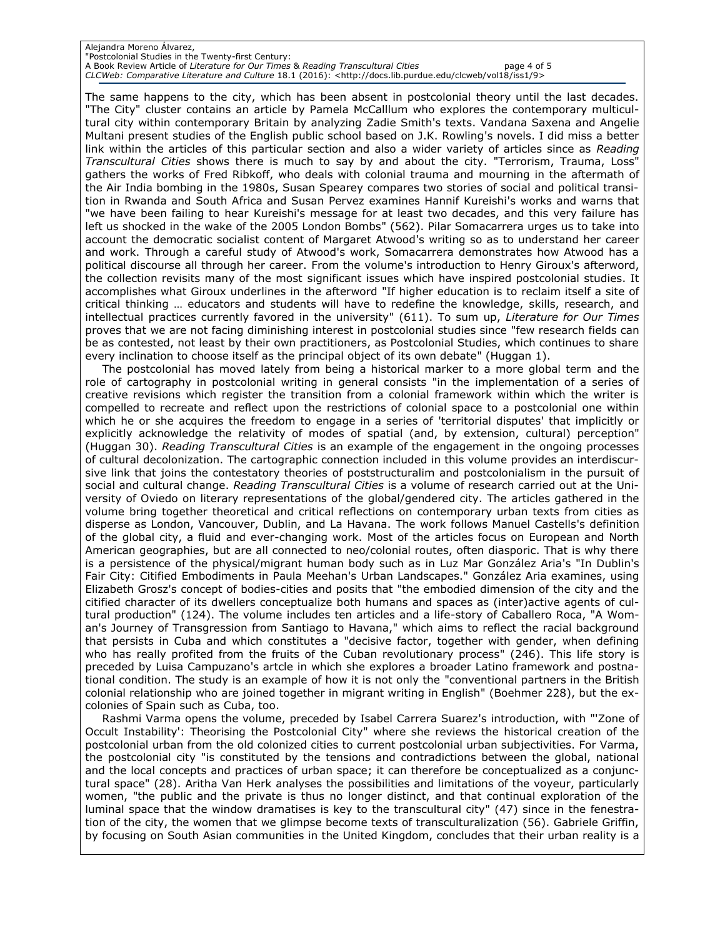#### Alejandra Moreno Álvarez, "Postcolonial Studies in the Twenty-first Century: A Book Review Article of *Literature for Our Times* & *Reading Transcultural Cities* page 4 of 5 *CLCWeb: Comparative Literature and Culture* 18.1 (2016): <http://docs.lib.purdue.edu/clcweb/vol18/iss1/9>

The same happens to the city, which has been absent in postcolonial theory until the last decades. "The City" cluster contains an article by Pamela McCalllum who explores the contemporary multicultural city within contemporary Britain by analyzing Zadie Smith's texts. Vandana Saxena and Angelie Multani present studies of the English public school based on J.K. Rowling's novels. I did miss a better link within the articles of this particular section and also a wider variety of articles since as *Reading Transcultural Cities* shows there is much to say by and about the city. "Terrorism, Trauma, Loss" gathers the works of Fred Ribkoff, who deals with colonial trauma and mourning in the aftermath of the Air India bombing in the 1980s, Susan Spearey compares two stories of social and political transition in Rwanda and South Africa and Susan Pervez examines Hannif Kureishi's works and warns that "we have been failing to hear Kureishi's message for at least two decades, and this very failure has left us shocked in the wake of the 2005 London Bombs" (562). Pilar Somacarrera urges us to take into account the democratic socialist content of Margaret Atwood's writing so as to understand her career and work. Through a careful study of Atwood's work, Somacarrera demonstrates how Atwood has a political discourse all through her career. From the volume's introduction to Henry Giroux's afterword, the collection revisits many of the most significant issues which have inspired postcolonial studies. It accomplishes what Giroux underlines in the afterword "If higher education is to reclaim itself a site of critical thinking … educators and students will have to redefine the knowledge, skills, research, and intellectual practices currently favored in the university" (611). To sum up, *Literature for Our Times* proves that we are not facing diminishing interest in postcolonial studies since "few research fields can be as contested, not least by their own practitioners, as Postcolonial Studies, which continues to share every inclination to choose itself as the principal object of its own debate" (Huggan 1).

The postcolonial has moved lately from being a historical marker to a more global term and the role of cartography in postcolonial writing in general consists "in the implementation of a series of creative revisions which register the transition from a colonial framework within which the writer is compelled to recreate and reflect upon the restrictions of colonial space to a postcolonial one within which he or she acquires the freedom to engage in a series of 'territorial disputes' that implicitly or explicitly acknowledge the relativity of modes of spatial (and, by extension, cultural) perception" (Huggan 30). *Reading Transcultural Cities* is an example of the engagement in the ongoing processes of cultural decolonization. The cartographic connection included in this volume provides an interdiscursive link that joins the contestatory theories of poststructuralim and postcolonialism in the pursuit of social and cultural change. *Reading Transcultural Cities* is a volume of research carried out at the University of Oviedo on literary representations of the global/gendered city. The articles gathered in the volume bring together theoretical and critical reflections on contemporary urban texts from cities as disperse as London, Vancouver, Dublin, and La Havana. The work follows Manuel Castells's definition of the global city, a fluid and ever-changing work. Most of the articles focus on European and North American geographies, but are all connected to neo/colonial routes, often diasporic. That is why there is a persistence of the physical/migrant human body such as in Luz Mar González Aria's "In Dublin's Fair City: Citified Embodiments in Paula Meehan's Urban Landscapes." González Aria examines, using Elizabeth Grosz's concept of bodies-cities and posits that "the embodied dimension of the city and the citified character of its dwellers conceptualize both humans and spaces as (inter)active agents of cultural production" (124). The volume includes ten articles and a life-story of Caballero Roca, "A Woman's Journey of Transgression from Santiago to Havana," which aims to reflect the racial background that persists in Cuba and which constitutes a "decisive factor, together with gender, when defining who has really profited from the fruits of the Cuban revolutionary process" (246). This life story is preceded by Luisa Campuzano's artcle in which she explores a broader Latino framework and postnational condition. The study is an example of how it is not only the "conventional partners in the British colonial relationship who are joined together in migrant writing in English" (Boehmer 228), but the excolonies of Spain such as Cuba, too.

Rashmi Varma opens the volume, preceded by Isabel Carrera Suarez's introduction, with "'Zone of Occult Instability': Theorising the Postcolonial City" where she reviews the historical creation of the postcolonial urban from the old colonized cities to current postcolonial urban subjectivities. For Varma, the postcolonial city "is constituted by the tensions and contradictions between the global, national and the local concepts and practices of urban space; it can therefore be conceptualized as a conjunctural space" (28). Aritha Van Herk analyses the possibilities and limitations of the voyeur, particularly women, "the public and the private is thus no longer distinct, and that continual exploration of the luminal space that the window dramatises is key to the transcultural city" (47) since in the fenestration of the city, the women that we glimpse become texts of transculturalization (56). Gabriele Griffin, by focusing on South Asian communities in the United Kingdom, concludes that their urban reality is a